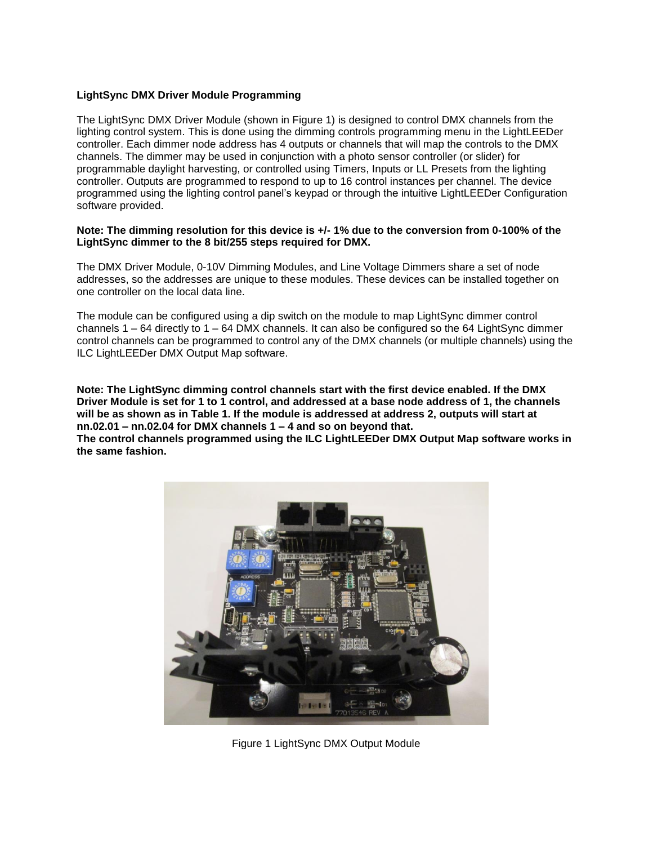## **LightSync DMX Driver Module Programming**

The LightSync DMX Driver Module (shown in Figure 1) is designed to control DMX channels from the lighting control system. This is done using the dimming controls programming menu in the LightLEEDer controller. Each dimmer node address has 4 outputs or channels that will map the controls to the DMX channels. The dimmer may be used in conjunction with a photo sensor controller (or slider) for programmable daylight harvesting, or controlled using Timers, Inputs or LL Presets from the lighting controller. Outputs are programmed to respond to up to 16 control instances per channel. The device programmed using the lighting control panel's keypad or through the intuitive LightLEEDer Configuration software provided.

#### **Note: The dimming resolution for this device is +/- 1% due to the conversion from 0-100% of the LightSync dimmer to the 8 bit/255 steps required for DMX.**

The DMX Driver Module, 0-10V Dimming Modules, and Line Voltage Dimmers share a set of node addresses, so the addresses are unique to these modules. These devices can be installed together on one controller on the local data line.

The module can be configured using a dip switch on the module to map LightSync dimmer control channels  $1 - 64$  directly to  $1 - 64$  DMX channels. It can also be configured so the 64 LightSync dimmer control channels can be programmed to control any of the DMX channels (or multiple channels) using the ILC LightLEEDer DMX Output Map software.

**Note: The LightSync dimming control channels start with the first device enabled. If the DMX Driver Module is set for 1 to 1 control, and addressed at a base node address of 1, the channels will be as shown as in Table 1. If the module is addressed at address 2, outputs will start at nn.02.01 – nn.02.04 for DMX channels 1 – 4 and so on beyond that.**

**The control channels programmed using the ILC LightLEEDer DMX Output Map software works in the same fashion.**



Figure 1 LightSync DMX Output Module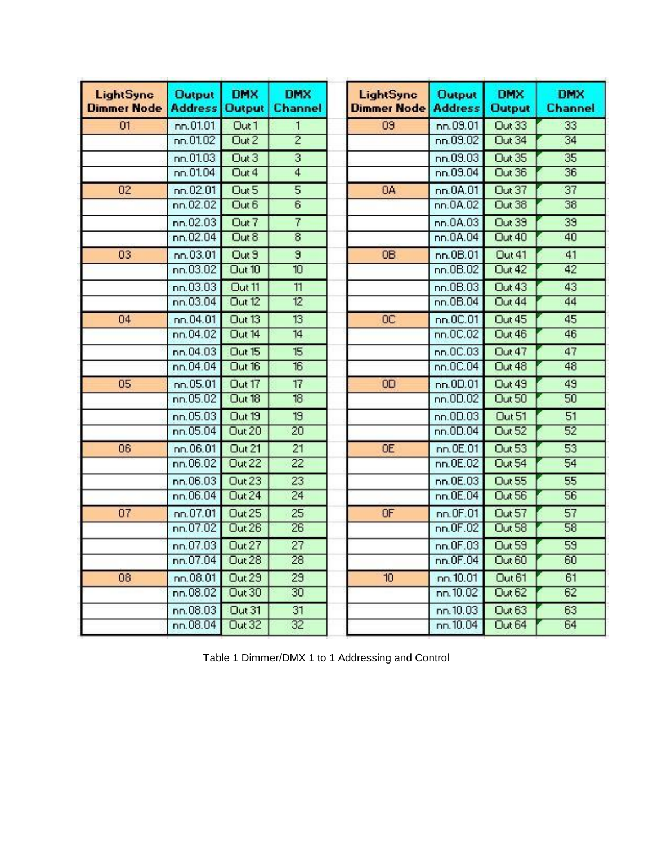| <b>LightSync</b><br><b>Dimmer Node</b> | <b>Output</b><br><b>Address</b> | <b>DMX</b><br><b>Output</b> | <b>DMX</b><br><b>Channel</b> | <b>LightSync</b><br><b>Dimmer Node</b> | <b>Output</b><br><b>Address</b> | <b>DMX</b><br><b>Output</b> | <b>DMX</b><br><b>Channel</b> |
|----------------------------------------|---------------------------------|-----------------------------|------------------------------|----------------------------------------|---------------------------------|-----------------------------|------------------------------|
| 01                                     | nn.01.01                        | Out 1                       | 1                            | 09                                     | nn.09.01                        | Out 33                      | 33                           |
|                                        | nn.01.02                        | Out <sub>2</sub>            | $\overline{2}$               |                                        | nn.09.02                        | Out 34                      | 34                           |
|                                        | nn.01.03                        | Out 3                       | 3                            |                                        | nn.09.03                        | Out 35                      | 35                           |
|                                        | nn.01.04                        | Out 4                       | $\overline{4}$               |                                        | nn.03.04                        | Out 36                      | 36                           |
| 02                                     | nn.02.01                        | Out 5                       | 5                            | 0A                                     | nn.0A.01                        | Out 37                      | 37                           |
|                                        | nn.02.02                        | Out 6                       | $\overline{6}$               |                                        | nn.0A.02                        | Out 38                      | 38                           |
|                                        | nn.02.03                        | Out 7                       | 7                            |                                        | nn.0A.03                        | Out 39                      | 39                           |
|                                        | nn.02.04                        | Out 8                       | $\overline{8}$               |                                        | nn.0A.04                        | Out 40                      | 40                           |
| 03                                     | nn.03.01                        | Out 9                       | $\overline{9}$               | <b>OB</b>                              | nn.0B.01                        | Out 41                      | 41                           |
|                                        | n n.03.02                       | Out 10                      | 10                           |                                        | nn.0B.02                        | Out 42                      | 42                           |
|                                        | nn.03.03                        | Out 11                      | $\overline{11}$              |                                        | nn.0B.03                        | Out 43                      | 43                           |
|                                        | nn.03.04                        | Out 12                      | 12                           |                                        | n n.0B.04                       | Out 44                      | 44                           |
| 04                                     | nn.04.01                        | Out 13                      | 13                           | OC                                     | nn.0C.01                        | Out 45                      | 45                           |
|                                        | nn.04.02                        | Out 14                      | $\overline{14}$              |                                        | nn.0C.02                        | Out 46                      | 46                           |
|                                        | nn.04.03                        | Out 15                      | 15                           |                                        | n n.0C.03                       | Out 47                      | 47                           |
|                                        | nn.04.04                        | Out 16                      | 16                           |                                        | nn.0C.04                        | Out 48                      | 48                           |
| 05                                     | nn.05.01                        | Out 17                      | 17                           | <b>OD</b>                              | nn.0D.01                        | Out 49                      | 49                           |
|                                        | nn.05.02                        | Out 18                      | $\overline{18}$              |                                        | nn.0D.02                        | Out 50                      | 50                           |
|                                        | nn.05.03                        | Out 19                      | 19                           |                                        | nn.0D.03                        | Out 51                      | 51                           |
|                                        | nn.05.04                        | Out 20                      | $\overline{20}$              |                                        | nn.0D.04                        | Out 52                      | 52                           |
| 06                                     | nn.06.01                        | Out 21                      | 21                           | <b>OE</b>                              | nn.0E.01                        | <b>Out 53</b>               | 53                           |
|                                        | n n.06.02                       | Out 22                      | $\overline{22}$              |                                        | nn.0E.02                        | Out 54                      | 54                           |
|                                        | nn.06.03                        | Out 23                      | 23                           |                                        | nn.0E.03                        | Out 55                      | 55                           |
|                                        | nn.06.04                        | Out 24                      | $\overline{24}$              |                                        | nn.0E.04                        | Out 56                      | 56                           |
| 07                                     | nn.07.01                        | Out 25                      | 25                           | 0F                                     | nn.0F.01                        | Out 57                      | 57                           |
|                                        | n n.07.02                       | Out 26                      | $\overline{26}$              |                                        | nn.0F.02                        | Out 58                      | 58                           |
|                                        | nn.07.03                        | Out 27                      | 27                           |                                        | nn.0F.03                        | Out 59                      | 59                           |
|                                        | nn.07.04                        | Out 28                      | 28                           |                                        | nn.0F.04                        | Out 60                      | 60                           |
| 08                                     | nn.08.01                        | Out 29                      | 29                           | 10 <sub>10</sub>                       | nn.10.01                        | Out 61                      | 61                           |
|                                        | nn.08.02                        | <b>Out 30</b>               | 30 <sub>2</sub>              |                                        | nn. 10.02                       | Out 62                      | 62                           |
|                                        | nn.08.03                        | Out 31                      | 31                           |                                        | nn.10.03                        | Out 63                      | 63                           |
|                                        | nn.08.04                        | <b>Out 32</b>               | 32                           |                                        | nn.10.04                        | Out 64                      | 64                           |

| Table 1 Dimmer/DMX 1 to 1 Addressing and Control |  |  |  |
|--------------------------------------------------|--|--|--|
|                                                  |  |  |  |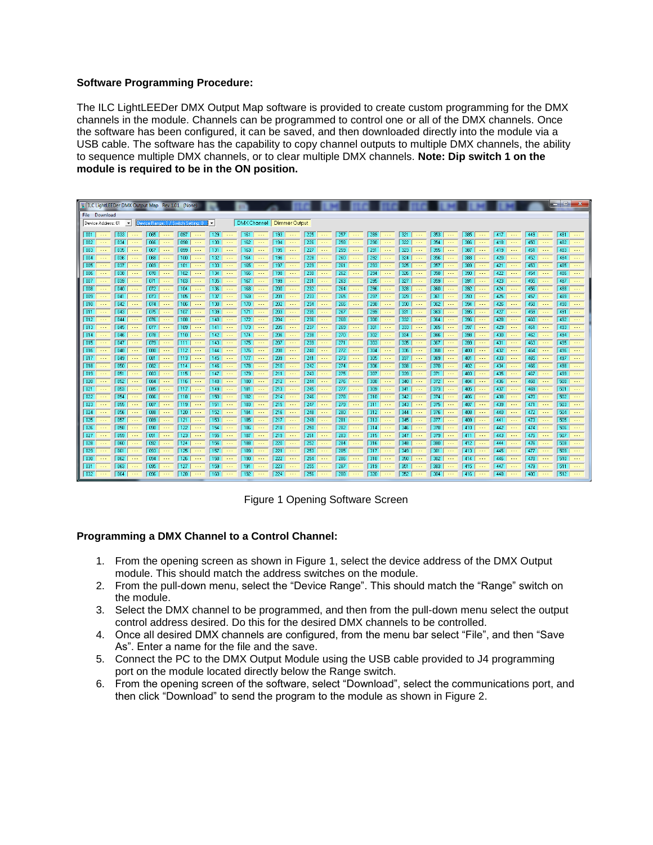# **Software Programming Procedure:**

The ILC LightLEEDer DMX Output Map software is provided to create custom programming for the DMX channels in the module. Channels can be programmed to control one or all of the DMX channels. Once the software has been configured, it can be saved, and then downloaded directly into the module via a USB cable. The software has the capability to copy channel outputs to multiple DMX channels, the ability to sequence multiple DMX channels, or to clear multiple DMX channels. **Note: Dip switch 1 on the module is required to be in the ON position.**

| ILC LightLEEDer DMX Output Map Rev 1.01 (None)                                                                                                      |                                                                                        |                                                                                                 |                                                                                           | -9                                                                                        |
|-----------------------------------------------------------------------------------------------------------------------------------------------------|----------------------------------------------------------------------------------------|-------------------------------------------------------------------------------------------------|-------------------------------------------------------------------------------------------|-------------------------------------------------------------------------------------------|
| File Download                                                                                                                                       |                                                                                        |                                                                                                 |                                                                                           |                                                                                           |
| $\overline{\phantom{a}}$<br>Device Address: 01<br>$\vert \cdot \vert$<br>Device Range: 1 / Switch Setting: 0                                        | DMX Channel Dimmer Output                                                              |                                                                                                 |                                                                                           |                                                                                           |
|                                                                                                                                                     |                                                                                        |                                                                                                 |                                                                                           |                                                                                           |
| $\boxed{033}$<br>065<br>097<br>129<br>$\boxed{001}$<br>$\sim$ $\sim$ $\sim$<br>$\sim$ $\sim$ $\sim$<br>$\sim$ $\sim$ $\sim$<br>$\sim$ $\sim$ $\sim$ | 161<br>193<br>$\sim$ $\sim$ $\sim$<br>$\sim$ $\sim$ $\sim$<br>$\sim$ $\sim$ $\sim$     | 225<br>257<br>289<br>$\sim$ $\sim$ $\sim$<br>$\sim$ $\sim$ $\sim$<br>$\sim$ $\sim$ $\sim$       | 353<br>321<br>385<br>$\cdots$<br>$\sim$ $\sim$ $\sim$<br>$\sim$ $\sim$ $\sim$             | 417<br>449<br>481<br>$\sim$ $\sim$ $\sim$<br>$\sim$ $\sim$ $\sim$<br>$\cdots$             |
| 002<br>098<br>034<br>066<br>130<br>$\sim$ $\sim$ $\sim$<br>$\sim$ $\sim$ $\sim$<br>$\cdots$<br>$\sim$ $\sim$ $\sim$                                 | 194<br>162<br>$\sim$ $\sim$ $\sim$<br>$\sim$ $\sim$ $\sim$                             | 258<br>290<br>226<br>$\sim$ .<br>$\sim$ $\sim$ $\sim$<br>$\sim$ $\sim$ $\sim$                   | 322<br>354<br>386<br>$\sim$ $\sim$ $\sim$<br>$\sim$ $\sim$ $\sim$<br>$\sim$ $\sim$ $\sim$ | 450<br>418<br>482<br>$\sim$ $\sim$ $\sim$<br>$\sim$ $\sim$<br>$\sim$ $\sim$ $\sim$        |
| 003<br>035<br>099<br>067<br>131<br>$\cdots$<br>$\cdots$<br>$\cdots$<br>$\cdots$                                                                     | 195<br>163<br>$\cdots$<br>$\cdots$<br>$\cdots$                                         | 259<br>227<br>291<br>$\cdots$<br>$\cdots$<br>$\cdots$                                           | 323<br>355<br>387<br>$\cdots$<br>$\cdots$<br>$\cdots$                                     | 419<br>451<br>483<br>$\cdots$<br>$\cdots$<br>$\cdots$                                     |
| 004<br>036<br>068<br>100<br>132<br>$\cdots$<br>$\cdots$<br>$\cdots$<br>$\sim$ $\sim$ $\sim$                                                         | 196<br>164<br>$\cdots$<br>$\cdots$<br>$\cdots$                                         | 228<br>260<br>292<br>$\cdots$<br>$\sim$ $\sim$ $\sim$<br>$\cdots$                               | 324<br>356<br>388<br>$\cdots$<br>$\cdots$<br>$\cdots$                                     | 420<br>452<br>484<br>$\ldots$<br>$\cdots$<br>$\sim$ $\sim$ $\sim$                         |
| $\sqrt{005}$<br>037<br>069<br>101<br>133<br>$\sim$ $\sim$ $\sim$<br>$\sim$ $\sim$ $\sim$<br>$\sim$ $\sim$ $\sim$<br>$\sim$ $\sim$ $\sim$            | 197<br>165<br>$\sim$ $\sim$ $\sim$<br>$\ldots$<br>$\sim$                               | 229<br>261<br>293<br>$\sim$ $\sim$ $\sim$<br>$\ldots$<br>$\sim$ $\sim$ $\sim$                   | 325<br>357<br>389<br>$\sim$ $\sim$ $\sim$<br>$\sim$ $\sim$ $\sim$<br>$\sim$ $\sim$ $\sim$ | 421<br>453<br>485<br>$\sim$ $\sim$ $\sim$<br>$\sim$ $\sim$ $\sim$<br>$\sim$ $\sim$ $\sim$ |
| $\sqrt{006}$<br>038<br>070<br>102<br>134<br>$\cdots$<br>$\cdots$<br>$\cdots$<br>$\sim$ $\sim$ $\sim$                                                | 198<br>166<br>$\cdots$<br>$\cdots$<br>$\cdots$                                         | 230<br>262<br>294<br>$\cdots$<br>$\ddotsc$<br>$\cdots$                                          | 326<br>358<br>390 <sub>1</sub><br>$\cdots$<br>$\cdots$<br>$\cdots$                        | 422<br>454<br>486<br>$\sim$ $\sim$ $\sim$<br>$\cdots$<br>$\cdots$                         |
| $\sqrt{007}$<br>039<br>103<br>135<br>071<br>$\sim$ $\sim$ $\sim$<br>$\sim$ $\sim$ $\sim$<br>$\cdots$<br>$\cdots$                                    | 167<br>199<br>$\cdots$<br>$\cdots$<br>$\cdots$                                         | 231<br>263<br>295<br>$\cdots$<br>$\cdots$<br>$\cdots$                                           | 327<br>359<br>391<br>$\cdots$<br>$\sim$ $\sim$<br>$\cdots$                                | 423<br>$487$ $\cdots$<br>455<br>$\sim$ $\sim$ $\sim$<br>$\cdots$                          |
| 008<br>040<br>104<br>136<br>072<br>$\sim$ $\sim$ $\sim$<br>$\sim$ $\sim$ $\sim$<br>$\sim$ $\sim$ $\sim$<br>$\sim$                                   | 168<br>200<br>$\sim$ $\sim$<br>$\sim$ $\sim$ $\sim$<br>$\sim$ $\sim$ $\sim$            | 232<br>264<br>296<br>$\sim$ $\sim$ $\sim$<br>$\sim$ - $\sim$<br>$\sim$ $\sim$ $\sim$            | 328<br>360<br>392<br>$\sim$<br>$\sim$ $\sim$ $\sim$<br>$\sim$ $\sim$ $\sim$               | 424<br>456<br>488<br>$\sim$ $\sim$ $\sim$<br>$\sim$ $\sim$ $\sim$                         |
| 009<br>073<br>105<br>137<br>041<br>$\sim 1.1$<br>$\sim$ $\sim$ $\sim$<br>$\sim 100$<br>$\sim 1.1$                                                   | 169<br>201<br>$\sim$ $\sim$ $\sim$<br>$\sim 1.1$<br>$\sim$ $\sim$ $\sim$               | 233<br>265<br>297<br>$\sim 100$<br>$\sim$ $\sim$ $\sim$<br>$\sim 1.1$                           | 329<br>361<br>393<br>$\sim 1.1$<br>$\sim$ $\sim$ $\sim$<br>$\sim 100$                     | 425<br>457<br>$489$<br>$\sim$ $\sim$ $\sim$<br>$\sim 1.1$                                 |
| 010<br>042<br>074<br>106<br>138<br>$\cdots$<br>$\ldots$<br>$\cdots$<br>$\cdots$                                                                     | 170<br>202<br>$\cdots$<br>$\cdots$<br>$\cdots$                                         | 234<br>266<br>298<br>$\cdots$<br>$\cdots$<br>$\ldots$                                           | 330<br>362<br>394<br>$\cdots$<br>$\cdots$<br>$\cdots$                                     | 426<br>458<br>$490$ $\cdots$<br>$\cdots$<br>$\sim$ $\sim$ $\sim$                          |
| 011<br>043<br>107<br>139<br>075<br>$\cdots$<br>$\cdots$<br>$\cdots$<br>$\cdots$                                                                     | 171<br>203<br>$\cdots$<br>$\cdots$<br>$\cdots$                                         | 235<br>267<br>299<br>$\cdots$<br>$\cdots$<br>$\cdots$                                           | 331<br>363<br>395<br>$\sim$ $\sim$ $\sim$<br>$\cdots$<br>$\cdots$                         | 427<br>459<br>$491$<br>$\cdots$<br>$\sim$ $\sim$ $\sim$                                   |
| 012<br>044<br>076<br>108<br>140<br>$\sim$ $\sim$ $\sim$<br>$\sim$ $\sim$ $\sim$<br>$\sim$ $\sim$ $\sim$<br>$\sim$ $\sim$ $\sim$                     | 172<br>204<br>$\sim$ $\sim$ $\sim$<br>$\sim$ $\sim$ $\sim$<br>$\cdots$                 | 236<br>268<br>300<br>$\sim$ $\sim$ $\sim$<br>$\sim$ $\sim$ $\sim$<br>$\sim$ $\sim$ $\sim$       | 332<br>364<br>396<br>$\sim$ $\sim$ $\sim$<br>$\sim$ $\sim$ $\sim$<br>$\sim$ $\sim$ $\sim$ | 428<br>460<br>$492$ $\cdots$<br>$\sim$ $\sim$ $\sim$<br>$\sim$ $\sim$ $\sim$              |
| 013<br>045<br>077<br>109<br>141<br>$\ldots$<br>$\ldots$<br>$\cdots$<br>$\cdots$                                                                     | 173<br>205<br>$\sim$ $\sim$ $\sim$<br>$\ddotsc$<br>$\sim$ $\sim$ $\sim$                | 237<br>269<br>301<br>$\ldots$<br>$\ldots$<br>$\ldots$                                           | 397<br>333<br>365<br>$\cdots$<br>$\ldots$<br>$\sim$ $\sim$ $\sim$                         | 429<br>461<br>$493$<br>$\sim$ $\sim$ $\sim$<br>$\sim$ $\sim$ $\sim$                       |
| 078<br>014<br>046<br>110<br>142<br>$\sim$ $\sim$<br>$\sim$ $\sim$ $\sim$<br>$\ldots$<br>$\sim$ $\sim$                                               | 206<br>  174  <br>$\sim$ $\sim$<br>$\sim$ $\sim$ $\sim$<br>$\sim$ $\sim$               | $\overline{238}$<br>302<br>270<br>$\sim$ $\sim$ $\sim$<br>$\sim$ $\sim$ $\sim$<br>$\sim$ $\sim$ | 334<br>398<br>366<br>$\sim$ $\sim$<br>$\sim$ $\sim$ $\sim$<br>$\sim$ $\sim$ $\sim$        | 430<br>$494$ $\cdots$<br>462<br>$\sim$ $\sim$ $\sim$<br>$\sim$ $\sim$ $\sim$              |
| 015<br>047<br>079<br>111<br>143<br>$\sim$ $\sim$ $\sim$<br>$\sim$ $\sim$ $\sim$<br>$\sim$ $\sim$ $\sim$<br>$\sim$ $\sim$ $\sim$                     | 175<br>207<br>$\sim$ $\sim$ $\sim$<br>$\sim$ $\sim$ $\sim$<br>$\sim$ $\sim$            | 303<br>239<br>271<br>$\sim$ $\sim$ $\sim$<br>$\sim$ $\sim$ $\sim$<br>$\sim$ $\sim$ $\sim$       | 335<br>367<br>399<br>$\sim$ $\sim$ $\sim$<br>$\sim$ $\sim$ $\sim$<br>$\sim$ $\sim$ $\sim$ | 431<br>463<br>$495$ $\cdots$<br>$\sim$ $\sim$ $\sim$<br>$\sim$ $\sim$ $\sim$              |
| 016<br>048<br>080<br>112<br>144<br>$\sim$ $\sim$ $\sim$<br>$\sim$ $\sim$ $\sim$<br>$\sim$ $\sim$ $\sim$<br>$\sim$ $\sim$ $\sim$                     | 208<br>176<br>$\sim$ .<br>$\sim$ $\sim$ $\sim$<br>$\sim$ $\sim$ $\sim$                 | 240<br>304<br>272<br>$\sim$ $\sim$ $\sim$<br>$\sim$ $\sim$ $\sim$<br>$\sim$ $\sim$ $\sim$       | 336<br>368<br>400<br>$\sim$ $\sim$ $\sim$<br>$\sim$ $\sim$ $\sim$<br>$\sim$ $\sim$ $\sim$ | 432<br>464<br>496<br>$\sim$ $\sim$ $\sim$<br>$\sim$ $\sim$ $\sim$<br>$\sim$ $\sim$ $\sim$ |
| 017<br>049<br>081<br>113<br>145<br>$\sim$ $\sim$ $\sim$<br>$\ldots$<br>$\cdots$<br>$\ldots$                                                         | 209<br>177<br>$\cdots$<br>$\cdots$<br>$\cdots$                                         | 241<br>305<br>273<br>$\cdots$<br>$\sim$ $\sim$ $\sim$<br>$\ldots$                               | 337<br>369<br>401<br>$\cdots$<br>$\ldots$<br>$\cdots$                                     | 433<br>$497$ $\cdots$<br>465<br>$\sim$ $\sim$ $\sim$<br>$\sim$ $\sim$ $\sim$              |
| 018<br>050<br>082<br>114<br>146<br>$\sim$ $\sim$ $\sim$<br>$\cdots$<br>$\ldots$<br>$\cdots$                                                         | 178  <br>210<br>$\cdots$<br>$\cdots$<br>$\cdots$                                       | $\overline{242}$<br>274<br>306<br>$\cdots$<br>$\ldots$<br>$\cdots$                              | 338<br>370<br>402<br>$\cdots$<br>$\cdots$<br>$\cdots$                                     | 434<br>466<br>498<br>$\ldots$<br>$\cdots$                                                 |
| 083<br>115<br>019<br>051<br>147<br>$\sim$ $\sim$ $\sim$<br>$\sim$ $\sim$ $\sim$<br>$\sim$ $\sim$<br>$\sim$ $\sim$ $\sim$                            | 211<br>179<br>$\sim$ $\sim$ $\sim$<br>$\sim$ $\sim$<br>$\sim$ $\sim$ $\sim$            | 243<br>275<br>307<br>$\sim$ $\sim$ $\sim$<br>$\sim$ $\sim$ $\sim$<br>$\sim$ $\sim$              | 339<br>403<br>371<br>$\sim$ $\sim$ $\sim$<br>$\sim$ $\sim$ $\sim$                         | 435<br>467<br>499<br>$\sim$ $\sim$ $\sim$<br>$\sim$ $\sim$ $\sim$                         |
| 084<br>116<br>148<br>020<br>052<br>$\sim$ $\sim$ $\sim$<br>$\sim$ $\sim$ $\sim$<br>$\cdots$<br>$\cdots$                                             | 180<br>212<br>$\cdots$<br>$\cdots$<br>$\cdots$                                         | 244<br>276<br>308<br>$\cdots$<br>$\sim$ $\sim$ $\sim$<br>$\cdots$                               | 340<br>372<br>404<br>$\cdots$<br>$\cdots$<br>$\sim$ $\sim$ $\sim$                         | 436<br>468<br>500<br>$\sim$ $\sim$ $\sim$<br>$\sim$ $\sim$ $\sim$<br>$\cdots$             |
| 117<br>149<br>021<br>053<br>085<br>$\sim$ $\sim$ $\sim$<br>$\sim$ $\sim$<br>$\cdots$<br>$\sim$                                                      | 181<br>213<br>$\sim$ $\sim$ $\sim$<br>$\cdots$<br>$\sim$ $\sim$ $\sim$                 | 245<br>277<br>309<br>$\sim$<br>$\sim$ $\sim$<br>$\sim$ $\sim$ $\sim$                            | 341<br>373<br>405<br>$\sim$ $\sim$ $\sim$<br>$\sim$<br>$\sim$                             | 437<br>469<br>501<br>$\sim$ $\sim$<br>$\cdots$<br>$\cdots$                                |
| $\overline{118}$<br>022<br>054<br>086<br>150<br>$\sim$ $\sim$<br>$\ddotsc$<br>$\sim$ $\sim$<br>$\sim$ $\sim$ .                                      | 214<br>182<br>$\sim$ $\sim$<br>$\sim$ $\sim$ $\sim$<br>$\sim$ $\sim$ $\sim$            | 246<br>278<br>310<br>$\sim$ $\sim$ $\sim$<br>$\sim$<br>$\sim$ $\sim$ .                          | 342<br>374<br>406<br>$\sim$ $\sim$ $\sim$<br>$\sim$ $\sim$ $\sim$<br>$\ddotsc$            | 438<br>470<br>502<br>$\sim$ $\sim$ $\sim$<br>$\sim$<br>$\sim$ $\sim$ $\sim$               |
| 023<br>055<br>087<br>119<br>151<br>$\sim$ $\sim$ $\sim$<br>$\sim$ .<br>$\sim$ $\sim$ $\sim$<br>$\sim$ $\sim$ $\sim$                                 | 183<br>215<br>$\sim$ $\sim$ $\sim$<br>$\sim$ $\sim$ $\sim$<br>$\sim$ $\sim$ $\sim$     | 247<br>279<br>311<br>$\sim$ $\sim$ $\sim$<br>$\sim$ $\sim$ $\sim$<br>$\sim$ $\sim$ $\sim$       | 343<br>375<br>407<br>$\sim$ $\sim$ $\sim$<br>$\sim$ $\sim$ $\sim$<br>$\sim$ $\sim$ $\sim$ | 503<br>439<br>471<br>$\sim$ $\sim$ $\sim$<br>$\sim$ $\sim$ $\sim$<br>$\sim$ $\sim$ $\sim$ |
| 024<br>120<br>056<br>088<br>152<br>$\ldots$<br>$\cdots$<br>$\cdots$<br>$\cdots$                                                                     | 216<br>184<br>$\cdots$<br>$\cdots$<br>$\cdots$                                         | 280<br>312<br>248<br>$\cdots$<br>$\cdots$<br>$\cdots$                                           | 344<br>376<br>408<br>$\cdots$<br>$\cdots$<br>$\cdots$                                     | 504<br>440<br>472<br>$\cdots$<br>$\sim$ $\sim$ $\sim$<br>$\cdots$                         |
| 025<br>121<br>153<br>057<br>089<br>$\sim$ $\sim$ $\sim$<br>$\cdots$<br>$\sim$ $\sim$ $\sim$<br>$\sim$ $\sim$ $\sim$                                 | 217<br>  185  <br>$\sim$ $\sim$<br>$\cdots$<br>$\sim$ $\sim$ $\sim$                    | 249<br>281<br>313<br>$\sim$ $\sim$ $\sim$<br>$\sim$ $\sim$ $\sim$<br>$\sim$ $\sim$ $\sim$       | 345<br>377<br>409<br>$\cdots$<br>$\cdots$<br>$\sim$ $\sim$ $\sim$                         | 441<br>473<br>$505$ $\cdots$<br>$\sim$ $\sim$ $\sim$<br>$\sim$ $\sim$ $\sim$              |
| 026<br>058<br>090<br>122<br>154<br>$\sim 100$<br>$\sim 100$<br>$\sim$ $\sim$ $\sim$<br>$\sim$ $\sim$ $\sim$                                         | 186<br>218<br>$\sim$ $\sim$<br>$\sim$ $\sim$<br>$\sim$ $\sim$ $\sim$                   | 250<br>282<br>314<br>$\sim 100$<br>$\sim$ $\sim$ $\sim$<br>$\sim$ $\sim$ $\sim$                 | 346<br>378<br>410<br>$\sim$ $\sim$ $\sim$<br>$\sim$ $\sim$ $\sim$<br>$\sim$ $\sim$ $\sim$ | 442<br>506<br>474<br>$\sim$ $\sim$ $\sim$<br>$\sim$ $\sim$ $\sim$                         |
| 027<br>123<br>059<br>091<br>155<br>$\ldots$<br>$\ldots$<br>$\ldots$<br>$\ldots$                                                                     | 187<br>219<br>$\ldots$<br>$\sim$ $\sim$ $\sim$<br>$\cdots$                             | 251<br>283<br>315<br>$\sim$ $\sim$ $\sim$<br>$\ldots$<br>$\cdots$                               | 347<br>379<br>411<br>$\sim$ $\sim$<br>$\cdots$<br>$\ldots$                                | $507$ $\cdots$<br>443<br>475<br>$\sim$ $\sim$ $\sim$<br>$\cdots$                          |
| 028<br>060<br>092<br>124<br>156<br>$\sim$ $\sim$<br>$\sim$ $\sim$ $\sim$<br>$\sim$ $\sim$<br>$\sim$ $\sim$ $\sim$                                   | 188<br>220<br>$\ldots$<br>$\cdots$<br>$\cdots$                                         | 252<br>284<br>316<br>$\cdots$<br>$\ldots$<br>$\sim$ $\sim$ $\sim$                               | 348<br>380<br>412<br>$\sim$<br>$\sim$ $\sim$ $\sim$<br>$\cdots$                           | 444<br>476<br>508<br>$\sim$ $\sim$ $\sim$<br>$\cdots$                                     |
| $\overline{029}$<br>093<br>125<br>061<br>157<br>$\sim$<br>$\sim$ $\sim$<br>$\sim$ $\sim$ $\sim$<br>$\sim$ $\sim$ $\sim$                             | $\overline{221}$<br>189<br>$\sim$<br>$\sim$ $\sim$ $\sim$<br>$\sim$ $\sim$ $\sim$      | 317<br>253<br>285<br>$\sim 100$<br>$\sim$ $\sim$ $\sim$<br>$\sim$ $\sim$                        | 349<br>381<br>413<br>$\sim$ $\sim$ $\sim$<br>$\sim$ $\sim$ $\sim$<br>$\sim$ $\sim$ $\sim$ | 509<br>445<br>477<br>$\sim$ $\sim$ $\sim$<br>$\sim$ $\sim$ $\sim$                         |
| 030<br>062<br>094<br>126<br>158<br>$\sim$ $\sim$ $\sim$<br>$\sim$ $\sim$ $\sim$<br>$\sim$ $\sim$ $\sim$<br>$\sim$ $\sim$ $\sim$                     | 190<br>222<br>$\sim$ $\sim$ $\sim$<br>$\sim$ $\sim$ $\sim$<br>$\ddotsc$                | 254<br>286<br>318<br>$\sim$ $\sim$ $\sim$<br>$\sim$ $\sim$ $\sim$<br>$\sim$ $\sim$ $\sim$       | 350<br>382<br>414<br>$\sim$ $\sim$ $\sim$<br>$\sim$ $\sim$ $\sim$<br>$\sim$ $\sim$ $\sim$ | 446<br>478<br>$510$ $\cdots$<br>$\sim$ $\sim$ $\sim$<br>$\sim$ $\sim$ $\sim$              |
| 031<br>063<br>095<br>127<br>159<br>$\sim$ $\sim$ $\sim$<br>$\cdots$<br>$\cdots$<br>$\cdots$                                                         | 191<br>223<br>$\sim$ $\sim$<br>$\cdots$<br>$\cdots$                                    | 255<br>287<br>319<br>$\cdots$<br>$\sim$ $\sim$ $\sim$<br>$\cdots$                               | 351<br>383<br>415<br>$\cdots$<br>$\cdots$<br>$\cdots$                                     | 511<br>447<br>479<br>$\sim$ $\sim$ $\sim$<br>$\cdots$<br>$\cdots$                         |
| $\boxed{032}$<br>$\sqrt{064}$<br>096<br>128<br>160<br>$\sim$ $\sim$ $\sim$<br>$\sim$ $\sim$ $\sim$<br>$\sim$ $\sim$ $\sim$<br>$\sim$ $\sim$ $\sim$  | 224<br>  192  <br>$\sim$ $\sim$ $\sim$<br>$\sim$ $\sim$ $\sim$<br>$\sim$ $\sim$ $\sim$ | 256<br>288<br>320<br>$\sim$ $\sim$ $\sim$<br>$\sim$ $\sim$ $\sim$<br>$\sim$ $\sim$ $\sim$       | 352<br>384<br>416<br>$\sim$ $\sim$ $\sim$<br>$\sim$ $\sim$ $\sim$<br>$\sim$ $\sim$ $\sim$ | 480<br>512<br>448<br>$\sim$ $\sim$ $\sim$<br>$\sim$ $\sim$ $\sim$<br>$\sim$ $\sim$ $\sim$ |
|                                                                                                                                                     |                                                                                        |                                                                                                 |                                                                                           |                                                                                           |

Figure 1 Opening Software Screen

# **Programming a DMX Channel to a Control Channel:**

- 1. From the opening screen as shown in Figure 1, select the device address of the DMX Output module. This should match the address switches on the module.
- 2. From the pull-down menu, select the "Device Range". This should match the "Range" switch on the module.
- 3. Select the DMX channel to be programmed, and then from the pull-down menu select the output control address desired. Do this for the desired DMX channels to be controlled.
- 4. Once all desired DMX channels are configured, from the menu bar select "File", and then "Save As". Enter a name for the file and the save.
- 5. Connect the PC to the DMX Output Module using the USB cable provided to J4 programming port on the module located directly below the Range switch.
- 6. From the opening screen of the software, select "Download", select the communications port, and then click "Download" to send the program to the module as shown in Figure 2.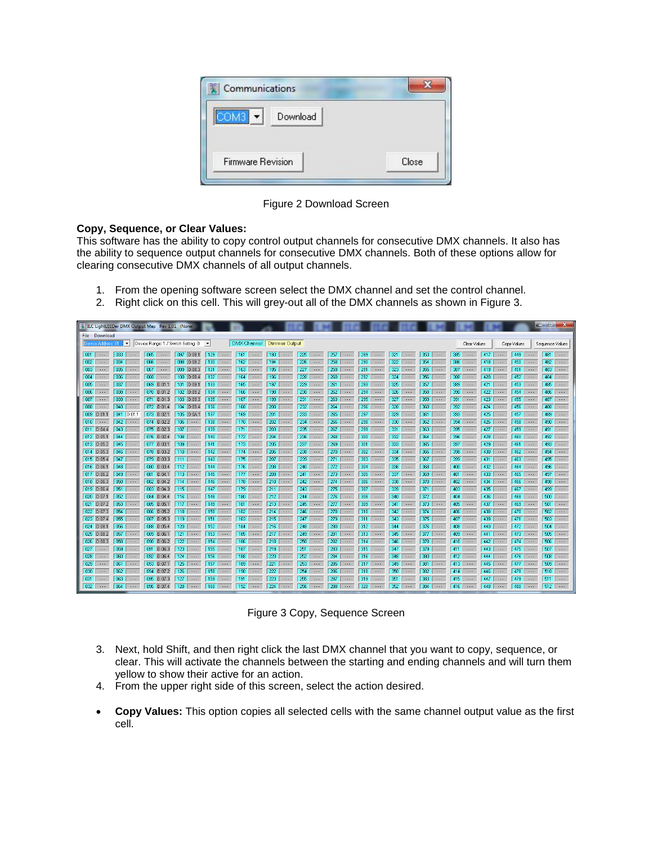| Communications                    |  |
|-----------------------------------|--|
| ---------------------<br>Download |  |
|                                   |  |

Figure 2 Download Screen

# **Copy, Sequence, or Clear Values:**

This software has the ability to copy control output channels for consecutive DMX channels. It also has the ability to sequence output channels for consecutive DMX channels. Both of these options allow for clearing consecutive DMX channels of all output channels.

- 1. From the opening software screen select the DMX channel and set the control channel.
- 2. Right click on this cell. This will grey-out all of the DMX channels as shown in Figure 3.

| 翼 ILC LightLEEDer DMX Output Map Rev 1.01 (None)                                                                                                                                                                                                                                                                                                          |                                                                                                                                      |                                                  | and Di<br>$\mathbf{x}$                                                                 |  |  |  |  |  |
|-----------------------------------------------------------------------------------------------------------------------------------------------------------------------------------------------------------------------------------------------------------------------------------------------------------------------------------------------------------|--------------------------------------------------------------------------------------------------------------------------------------|--------------------------------------------------|----------------------------------------------------------------------------------------|--|--|--|--|--|
| File Download                                                                                                                                                                                                                                                                                                                                             |                                                                                                                                      |                                                  |                                                                                        |  |  |  |  |  |
| DMX Channel Dimmer Output<br>$\vert$<br>Device Range: 1 / Switch Setting: 0<br>$\overline{\phantom{a}}$<br>Device Address: 01                                                                                                                                                                                                                             |                                                                                                                                      | Clear Values                                     | Copy Values<br>Sequence Values                                                         |  |  |  |  |  |
| $\sqrt{001}$<br>$097$ $D:08.1$<br>129<br>193<br>225<br>257<br>033<br>065<br>161<br>$\ldots$<br>$\  \ldots$<br>$\ldots$ .<br>$\sim$ $\sim$ $\sim$<br>$\ldots$ .<br>$\ldots$<br>$\sim$ $\sim$ $\sim$                                                                                                                                                        | 321<br>353<br>289<br>$\ldots$<br>$\ldots$ .<br>$\sim$ $\sim$ $\sim$<br>$\sim$ $\sim$ $\sim$                                          | 385<br>$\ldots$                                  | 417<br>449<br>481<br>$\ldots$<br>$\sim$ . $\sim$                                       |  |  |  |  |  |
| 226<br>258<br> 002 <br>034<br>066<br>098 D:08.2<br>130<br>162<br>194<br>$\cdots$<br>$\cdots$<br>$\overline{\phantom{a}}$<br>$\cdots$<br>$\cdots$<br>$\cdots$<br>$\sim$ $\sim$ $\sim$                                                                                                                                                                      | 290<br>322<br>354<br>$\sim$ $\sim$ $\sim$<br>$\cdots$<br>$\sim$ $\sim$ $\sim$<br>$\sim$ $\sim$ $\sim$                                | 386<br>418<br>$\sim$ $\sim$ $\sim$               | 450<br>$482$<br>$\sim$ $\sim$ $\sim$<br>$\cdots$                                       |  |  |  |  |  |
| $\sqrt{003}$<br>$\overline{227}$<br>259<br>035<br>067<br>099 D:08.3<br>131<br>$163$<br>195<br>$\cdots$<br>$\ldots$<br>$\ldots$<br>$\ldots$<br>$\dots$<br>$\cdots$                                                                                                                                                                                         | $\overline{291}$<br>323<br>355<br>$\ldots$<br>$\cdots$<br>$\cdots$<br>$\ldots$                                                       | 419<br>$387$                                     | 451<br>$483$<br>$\ldots$<br>$\cdots$                                                   |  |  |  |  |  |
| 260<br>  004<br>068<br>100 D:08.4<br>164<br>196<br>228<br>036<br>132<br>$\sim$ $\sim$ $\sim$<br>$\cdots$<br>$\cdots$<br>$\cdots$<br>.<br>$\cdots$<br>$\cdots$                                                                                                                                                                                             | 292<br>324<br>356<br>$\sim$ $\sim$ $\sim$<br>$\sim$ $\sim$ $\sim$<br>$\sim$ $\sim$ $\sim$<br>$\cdots$                                | 420<br>388<br>.                                  | 452<br>$484$<br>$\sim$ $\sim$ $\sim$<br>$\ldots$                                       |  |  |  |  |  |
| 005<br>229<br>037<br>069 D:01.1<br>101 D:09.1<br>133<br>$165$<br>197<br>261<br>$\sim$ $\sim$ $\sim$<br>$\sim$ $\sim$ $\sim$<br>$\sim$ $\sim$ $\sim$<br>$\sim$ $\sim$ $\sim$<br>$\sim$ $\sim$ $\sim$                                                                                                                                                       | 293<br>325<br>357<br>$\sim$ $\sim$ $\sim$<br>$\sim$ $\sim$ $\sim$<br>$\sim$ $\sim$ $\sim$<br>$\sim 100$                              | $389$<br>421                                     | 453<br>$485$<br>$\sim$ $\sim$ $\sim$<br>$\sim$ $\sim$ $\sim$                           |  |  |  |  |  |
| 262<br>$\boxed{006}$<br>038<br>070 D:01.2<br>102 D:09.2<br>134<br>$166$<br>198<br>230<br>$\sim$ $\sim$<br>$\cdots$<br>$\sim$ $\sim$ $\sim$<br>$\cdots$<br>$\cdots$                                                                                                                                                                                        | $\overline{326}$<br>294<br>358<br>$\cdots$<br>$\sim$ $\sim$<br>$\cdots$<br>$\sim$ $\sim$ $\sim$                                      | 422<br>$390$ $\cdots$                            | 454<br>486<br>$\sim$ $\sim$ $\sim$<br>$\cdots$<br>$\cdots$                             |  |  |  |  |  |
| $\sqrt{007}$<br>$167$ $\cdots$<br>199<br>231<br>263<br>039<br>071 D:01.3<br>103 D:09.3<br>135<br>$\sim$ $\sim$ $\sim$<br>$\sim$ $\sim$ $\sim$<br>$\cdots$<br>$\sim$ $\sim$ $\sim$<br>$\sim$ $\sim$ $\sim$                                                                                                                                                 | 327<br>359<br>295<br>$\sim$ $\sim$ $\sim$<br>$\sim$ $\sim$ $\sim$<br>$\sim$ $\sim$ $\sim$<br>$\sim$ $\sim$ $\sim$                    | 423<br>391<br>$\sim$                             | 487<br>455<br>$\sim$ $\sim$ $\sim$<br>$\sim$ $\sim$ $\sim$<br>$\sim$ $\sim$ $\sim$     |  |  |  |  |  |
| 008<br>104 D:09.4<br>$168$<br>232<br>264<br>040<br>072 D:01.4<br>136<br>200<br>$\ldots$<br>$\ldots$<br>$\cdots$<br>$\cdots$<br>$\ldots$                                                                                                                                                                                                                   | 296<br>328<br>360<br>$\ldots$ .<br>$\ldots$<br>$\cdots$<br>$\cdots$                                                                  | $392$<br>424                                     | 456<br>488<br>$\cdots$<br>$\ldots$<br>$\sim$ $\sim$ $\sim$                             |  |  |  |  |  |
| 009 D:01.1<br>233<br>265<br>041<br>D:01.1<br>$073$ D:02.1<br>105 D:0A1<br>137<br>$169$ $\cdots$<br>201<br>$\cdots$<br>$\cdots$<br>$\cdots$                                                                                                                                                                                                                | 297<br>329<br>361<br>$\cdots$<br>$\cdots$<br>$\cdots$<br>$\cdots$                                                                    | 425<br>$393$                                     | 457<br>$489$<br>$\cdots$<br>$\cdots$                                                   |  |  |  |  |  |
| 234<br>010<br>042<br>074 D:02.2<br>106<br>138<br>202<br>266<br>170<br>$\sim$ $\sim$ $\sim$<br>$\cdots$<br>$\sim$ $\sim$ $\sim$<br>$\sim$ $\sim$ $\sim$<br>$\overline{\phantom{a}}$<br>$\ldots$<br>$\cdots$                                                                                                                                                | 298<br>330<br>362<br>$\ldots$<br>$\dots$<br>$\ldots$<br>$\cdots$                                                                     | 426<br>$394$ $\cdots$                            | 458<br>$490$<br>$\cdots$<br>$\ldots$                                                   |  |  |  |  |  |
| $011$ $D:04.4$<br>043<br>075 D:02.3<br>107<br>203<br>235<br>139<br>171<br>267<br>$\cdots$<br>$\cdots$<br>$\ldots$<br>$\overline{\phantom{a}}$<br>$\cdots$<br>$\cdots$<br>$012$ $D:05.1$<br>044<br>076 D:02.4<br>108<br>140<br>204<br>236<br>268<br>172                                                                                                    | 299<br>331<br>363<br>$\ldots$<br>$\cdots$<br>$\ldots$<br>$\ldots$<br>300<br>332<br>364                                               | 427<br>395<br>$\dots$<br>428<br>396              | 459<br>491<br>$\ldots$<br>$\cdots$<br>$\overline{\phantom{a}}$<br>460<br>492<br>$\sim$ |  |  |  |  |  |
| $\cdots$<br>$\cdots$<br>$\sim$ $\sim$ $\sim$<br>$\cdots$<br>$\ldots$ .<br>$\cdots$<br>$013$ $D:05.2$<br><b>045</b><br>077 D:03.1<br>109<br>141<br>$173$ $\cdots$<br>205<br>237<br>269<br>$\dots$<br>$\sim$ $\sim$ $\sim$<br>$\cdots$<br>$\cdots$<br>$\cdots$                                                                                              | $\ldots$<br>$\ldots$<br>$\ldots$<br>$\ldots$<br>333<br>301<br>365<br>$\ldots$<br>$\ldots$<br>$\ldots$ .<br>$\sim$ $\sim$ $\sim$      | $\cdots$<br>429<br>397<br>$\ldots$ .             | $\cdots$<br>$\sim$ $\sim$ $\sim$<br>461<br>493<br>$\sim$<br>$\ldots$<br>$\cdots$       |  |  |  |  |  |
| 206<br>238<br>$014$ $D:05.3$<br>046<br>078 D:03.2<br>$110^{-1}$<br>142<br>174<br>270<br>$\dots$<br>$\dots$<br>$\cdots$<br>$\cdots$<br>$\ldots$ .<br>$\cdots$                                                                                                                                                                                              | 302<br>334<br>366<br>$\dots$<br>$\ldots$ .<br>$\ldots$<br>$\cdots$                                                                   | 398<br>430<br>$\cdots$                           | 462<br>494<br>$\sim$ $\sim$ $\sim$<br>$\ldots$<br>$\sim$                               |  |  |  |  |  |
| 207<br>$015$ $D:05.4$<br>079 D:03.3<br>111<br>143<br>239<br>047<br>175<br>271<br>$\ldots$<br>$\cdots$<br>$\ldots$<br>$\ldots$<br>$\cdots$<br>$\cdots$                                                                                                                                                                                                     | 335<br>303 <sub>1</sub><br>367<br>$\ldots$<br>$\ldots$ .<br>$\cdots$<br>$\ldots$                                                     | 399<br>431<br>$\cdots$                           | 463<br>495<br>$\ldots$<br>$\cdots$<br>$\cdots$                                         |  |  |  |  |  |
| $016$ $D:06.1$<br>112<br>208<br>240<br>048<br>080 D:03.4<br>144<br>176<br>272<br>$\cdots$<br>$\cdots$<br>$\cdots$<br>$\cdots$<br><b>1</b><br>$\cdots$                                                                                                                                                                                                     | 304<br>336<br>368<br>$\ldots$<br>$\cdots$<br>$\cdots$<br>$\cdots$                                                                    | 432<br>400<br>.                                  | 464<br>$496$<br>$\cdots$<br>$\cdots$                                                   |  |  |  |  |  |
| $017$ $D:06.2$<br>049<br>081 D:04.1<br>113<br>145<br>209<br>241<br>273<br>177<br>$\sim$ $\sim$ $\sim$<br>$\sim$<br>$\sim$ $\sim$ $\sim$<br>$\overline{\phantom{a}}$<br>$\sim$ $\sim$ $\sim$<br>$\cdots$                                                                                                                                                   | 305<br>337<br>369<br>$\sim$ $\sim$ $\sim$<br>$\sim$ $\sim$ $\sim$<br>$\sim$ $\sim$ $\sim$<br>$\cdots$                                | 433<br>401<br><b>1.</b>                          | 465<br>497 $$<br>$\sim$ $\sim$ $\sim$<br>$\cdots$                                      |  |  |  |  |  |
| 242<br>274<br>  018    D:06.3<br>050<br>082 D:04.2<br>114<br>146<br>$178$<br>210<br>$\cdots$<br>$\cdots$<br>$\cdots$<br>$\ldots$<br>$\ldots$                                                                                                                                                                                                              | 306<br>338<br>370<br>$\cdots$<br>$\ldots$<br>$\ldots$<br>$\cdots$                                                                    | 434<br>402<br>$\sim$                             | 466<br>$498$<br>$\cdots$<br>$\cdots$                                                   |  |  |  |  |  |
| 019 0:06.4 <br>051<br>083 D:04.3<br>115 <sub>1</sub><br>147<br>$179$<br>211<br>243<br>275<br>$\cdots$<br>$\cdots$<br>$\cdots$<br>$\cdots$<br>$\cdots$                                                                                                                                                                                                     | 307<br>339<br>371<br>$\ldots$<br>$\cdots$<br>$\cdots$<br>$\cdots$                                                                    | 435<br>$403$                                     | 467<br>$499$ $\cdots$<br>$\ldots$<br>$\cdots$                                          |  |  |  |  |  |
| 244<br>276<br>020 D:07.1<br>052<br>084 D:04.4<br>116<br>148<br>$180$ $\cdots$<br>212<br>$\ldots$<br>$\sim$ $\sim$ $\sim$<br>$\sim$ $\sim$ $\sim$<br>$\sim$ $\sim$ $\sim$<br>$\ldots$                                                                                                                                                                      | 308<br>340<br>372<br>$\sim$ $\sim$ $\sim$<br>$\sim$ $\sim$ $\sim$<br>$\ldots$<br>$\sim$ $\sim$ $\sim$                                | 436<br>404<br>$\sim$ $\sim$ $\sim$               | 468<br>$500$ $\cdots$<br>$\sim$ $\sim$ $\sim$<br>$\ldots$                              |  |  |  |  |  |
| 245<br>277<br>$021$ $D:07.2$<br>053<br>085 D:05.1<br>$117$<br>149<br>181<br>213<br>$\sim$ . $\sim$<br>$\cdots$<br>$\sim$ $\sim$ $\sim$<br>$\mathbb{R}$ . The set of $\mathbb{R}$<br>$\ldots$ .<br>$\sim$ $\sim$ $\sim$                                                                                                                                    | 341<br>309<br>373<br>$\sim$ $\sim$ $\sim$<br>$\sim$ $\sim$<br>$\sim$ $\sim$ $\sim$<br>$\sim$ $\sim$ $\sim$                           | 437<br>$405$                                     | 469<br>501<br>$\sim$ $\sim$ $\sim$<br>$\ldots$<br>$\mathbf{L}$                         |  |  |  |  |  |
| $022$ $D:07.3$<br>054<br>086 D:05.2<br>118<br>150<br>214<br>246<br>278<br>$182$<br>$\cdots$<br>$\cdots$<br>$\sim$ $\sim$ $\sim$<br>$\sim$ $\sim$ $\sim$<br>$\ldots$                                                                                                                                                                                       | 342<br>310<br>374<br>$\cdots$<br>$\ldots$<br>$\ldots$ .<br>$\sim$ $\sim$ $\sim$                                                      | $406$<br>438                                     | 470<br>$502$<br>$\cdots$<br>$\cdots$                                                   |  |  |  |  |  |
| 023 D:07.4<br>055<br>087 D:05.3<br>119<br>151<br>247<br>279<br>$183$<br>$215$  <br>$\ldots$<br>$\sim$ $\sim$ $\sim$<br>$\sim$ $\sim$ $\sim$<br>$\sim$ $\sim$ $\sim$<br>$\dots$                                                                                                                                                                            | 343<br>311<br>375<br>$\ldots$<br>$\sim$ $\sim$ $\sim$<br>$\dots$<br>$\sim$ $\sim$ $\sim$                                             | $407$<br>439                                     | 471<br>$503$ $\cdots$<br>$\sim$ $\sim$ $\sim$<br>$\dots$                               |  |  |  |  |  |
| 024 D:08.1<br>056<br>088 D:05.4<br>120<br>152<br>184<br>248<br>280<br>216<br>$\ldots$ .<br>$\ldots$<br>$\ldots$<br>$\overline{\phantom{a}}$<br>$\ldots$ .<br>$\ldots$                                                                                                                                                                                     | 312<br>344<br>376<br>$\sim$ $\sim$ $\sim$<br>$\ldots$<br>$\dots$<br>$\sim$ $\sim$ $\sim$                                             | 408<br>440<br>$\overline{\phantom{a}}$           | 472<br>$504$<br>$\sim$ $\sim$ $\sim$<br>$\cdots$                                       |  |  |  |  |  |
| 025 D:08.2<br>057<br>089 D:06.1<br>121<br>153<br>$185$<br>217<br>249<br>281<br>$\ldots$<br>$\ldots$<br>$\cdots$<br>$\sim$ $\sim$ $\sim$<br>$\cdots$                                                                                                                                                                                                       | 345<br>313<br>377<br>$\cdots$<br>$\ldots$<br>$\sim$ $\sim$ $\sim$<br>$\cdots$                                                        | 409<br>441<br>$\cdots$                           | 473<br>505<br>$\cdots$<br>$\sim$ $\sim$<br>$\cdots$                                    |  |  |  |  |  |
| 026 D:08.3<br>058<br>090 D:06.2<br>122<br>154<br>186<br>218<br>250<br>282<br>$\dots$<br>$\dots$<br>$\sim$ $\sim$ $\sim$<br>$\dots$<br>$\ldots$<br>$\cdots$                                                                                                                                                                                                | 314<br>346<br>378<br>$\dots$<br>$\dots$<br>$\ldots$<br>$\dots$                                                                       | 442<br>$410$ $\cdots$                            | 474<br>506<br>$\ldots$<br>$\sim$ $\sim$ $\sim$<br>$\cdots$                             |  |  |  |  |  |
| $\sqrt{027}$<br>059<br>123<br>219<br>251<br>283<br>091 D:06.3<br>155<br>187<br>$\dots$<br>$\dots$<br>$\ldots$ .<br>$\dots$ .<br>$\dots$<br>$\sim$ $\sim$ $\sim$<br>$\overline{\phantom{a}}$<br>124<br>156<br>220<br>252<br>  028<br>060<br>092 D:06.4<br>188<br>284<br>$\ldots$<br>$\ldots$<br>$\ldots$ .<br>$\cdots$<br>$\ldots$<br>$\ldots$<br>$\cdots$ | 347<br>315<br>379<br>$\cdots$<br>$\dots$<br>$\cdots$<br>$\dots$<br>348<br>316<br>380<br>$\ldots$<br>$\cdots$<br>$\ldots$<br>$\ldots$ | 443<br>411<br>$\cdots$<br>444<br>412<br>$\ldots$ | 507<br>475<br>$\sim$<br>$\dots$<br>$\ldots$<br>476<br>$508$<br>$\ldots$<br>$\cdots$    |  |  |  |  |  |
| $\overline{125}$<br>285<br>029<br>093 D:07.1<br>157<br>$189$ $\cdots$<br>221<br>253<br>061<br>$\dots$<br>$\ldots$<br>$\ldots$ .<br>$\sim$ $\sim$ $\sim$<br>$\cdots$<br>$\cdots$                                                                                                                                                                           | 349<br>317<br>381<br>$\dots$<br>$\ldots$<br>$\sim$ $\sim$ $\sim$<br>$\sim$ $\sim$ $\sim$                                             | 445<br>413 $$                                    | 477<br>509<br>$\sim$<br>$\sim$ $\sim$ $\sim$<br>$\cdots$                               |  |  |  |  |  |
| 030<br>062<br>094 D:07.2<br>126<br>158<br>$190$ $$<br>222<br>254<br>286<br>$\ldots$<br>$\ldots$ .<br>$\cdots$<br>$\ldots$<br>$\cdots$<br>$\cdots$                                                                                                                                                                                                         | 318<br>350<br>382<br>$\sim$ $\sim$ $\sim$<br>$\cdots$<br>$\sim$ $\sim$ $\sim$<br>$\cdots$                                            | $414$<br>446                                     | 478<br>$510$ $\cdots$<br>$\sim$ $\sim$ $\sim$<br>$\cdots$                              |  |  |  |  |  |
| 1031<br>063<br>095 D:07.3<br>127<br>159<br>191<br>223<br>255<br>287<br>$\ldots$<br>$\cdots$<br>$\cdots$<br>$\overline{\phantom{a}}$<br>$\cdots$<br>$\sim$ $\sim$<br>$\cdots$                                                                                                                                                                              | 319<br>351<br>383<br>$\cdots$<br>$\ldots$<br>$\cdots$<br>$\cdots$                                                                    | 415<br>447<br>.                                  | 479<br>511<br>$\sim$<br>$\cdots$<br>$\cdots$                                           |  |  |  |  |  |
| $\sqrt{032}$<br>256<br>288<br>064<br>096 D:07.4<br>128<br>160<br>$192$ $\cdots$<br>224<br>$\dots$<br>$\cdots$<br>$\ldots$<br>$\cdots$<br>$\cdots$<br>$\ldots$                                                                                                                                                                                             | 320<br>352<br>384<br>$\dots$<br>$\cdots$<br>$\ldots$<br>$\cdots$                                                                     | 448<br>$416$ $\cdots$                            | 480<br>$512$<br>$\sim$ $\sim$ $\sim$<br>$\cdots$                                       |  |  |  |  |  |

Figure 3 Copy, Sequence Screen

- 3. Next, hold Shift, and then right click the last DMX channel that you want to copy, sequence, or clear. This will activate the channels between the starting and ending channels and will turn them yellow to show their active for an action.
- 4. From the upper right side of this screen, select the action desired.
- **Copy Values:** This option copies all selected cells with the same channel output value as the first cell.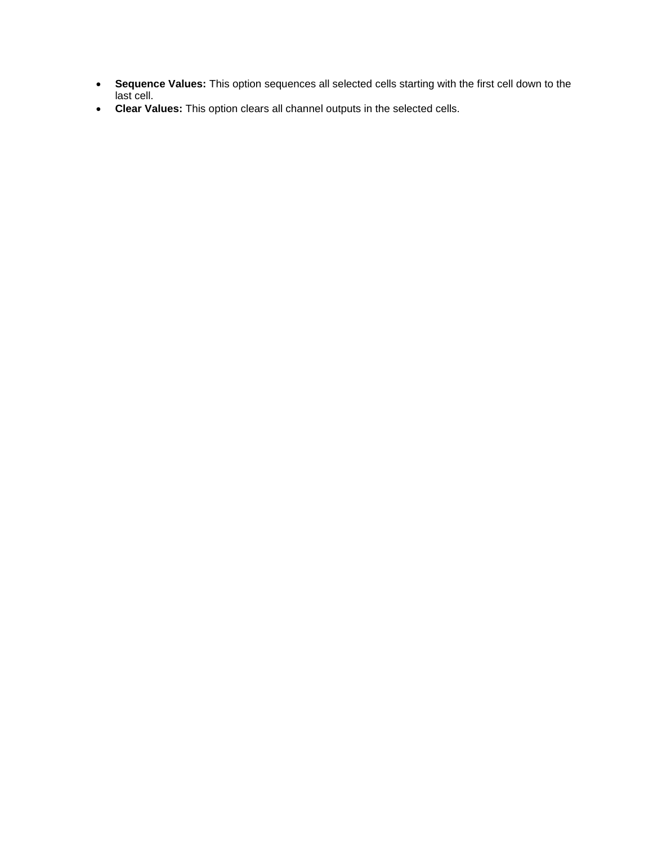- **Sequence Values:** This option sequences all selected cells starting with the first cell down to the last cell.
- **Clear Values:** This option clears all channel outputs in the selected cells.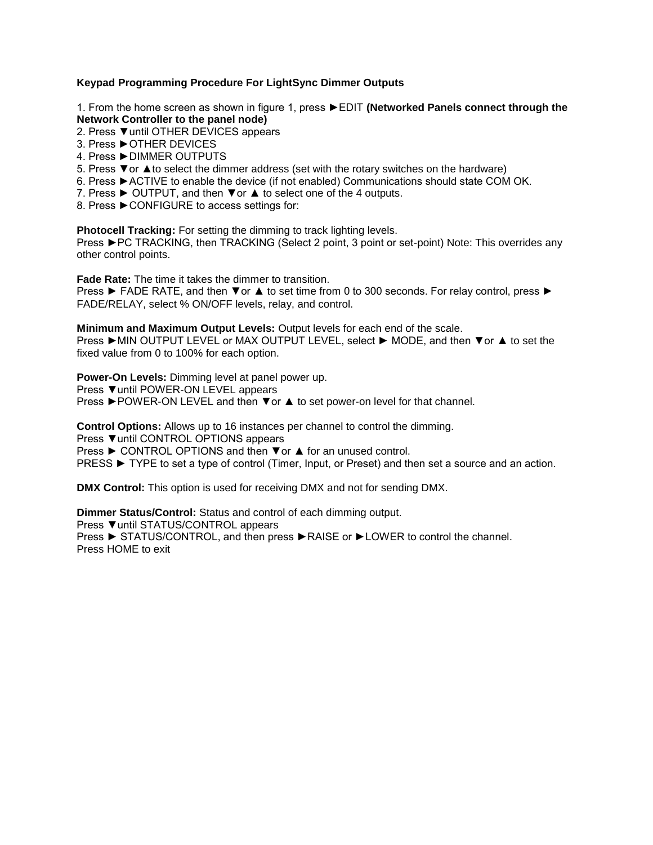# **Keypad Programming Procedure For LightSync Dimmer Outputs**

1. From the home screen as shown in figure 1, press ►EDIT **(Networked Panels connect through the Network Controller to the panel node)**

- 2. Press ▼until OTHER DEVICES appears
- 3. Press ►OTHER DEVICES
- 4. Press ►DIMMER OUTPUTS
- 5. Press ▼or **▲**to select the dimmer address (set with the rotary switches on the hardware)
- 6. Press ►ACTIVE to enable the device (if not enabled) Communications should state COM OK.
- 7. Press ► OUTPUT, and then ▼or **▲** to select one of the 4 outputs.
- 8. Press ▶ CONFIGURE to access settings for:

**Photocell Tracking:** For setting the dimming to track lighting levels.

Press ►PC TRACKING, then TRACKING (Select 2 point, 3 point or set-point) Note: This overrides any other control points.

**Fade Rate:** The time it takes the dimmer to transition.

Press ► FADE RATE, and then ▼or **▲** to set time from 0 to 300 seconds. For relay control, press ► FADE/RELAY, select % ON/OFF levels, relay, and control.

**Minimum and Maximum Output Levels:** Output levels for each end of the scale.

Press ►MIN OUTPUT LEVEL or MAX OUTPUT LEVEL, select ► MODE, and then ▼or **▲** to set the fixed value from 0 to 100% for each option.

**Power-On Levels:** Dimming level at panel power up.

Press ▼until POWER-ON LEVEL appears

Press ►POWER-ON LEVEL and then ▼or **▲** to set power-on level for that channel.

**Control Options:** Allows up to 16 instances per channel to control the dimming.

Press ▼until CONTROL OPTIONS appears

Press ► CONTROL OPTIONS and then ▼or **▲** for an unused control.

PRESS ► TYPE to set a type of control (Timer, Input, or Preset) and then set a source and an action.

**DMX Control:** This option is used for receiving DMX and not for sending DMX.

**Dimmer Status/Control:** Status and control of each dimming output. Press ▼until STATUS/CONTROL appears Press ► STATUS/CONTROL, and then press ►RAISE or ►LOWER to control the channel. Press HOME to exit